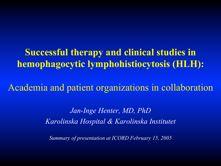**Successful therapy and clinical studies in hemophagocytic lymphohistiocytosis (HLH):** 

Academia and patient organizations in collaboration

*Jan-Inge Henter, MD, PhD Karolinska Hospital & Karolinska Institutet* 

*Summary of presentation at ICORD February 15, 2005*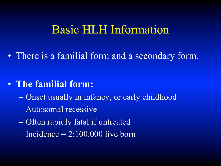#### Basic HLH Information

• There is a familial form and a secondary form.

#### • **The familial form:**

- Onset usually in infancy, or early childhood
- Autosomal recessive
- Often rapidly fatal if untreated
- $-$  Incidence  $= 2:100.000$  live born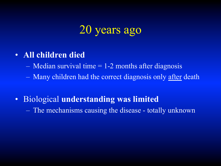#### 20 years ago

#### • **All children died**

- $-$  Median survival time  $= 1-2$  months after diagnosis
- Many children had the correct diagnosis only after death

#### • Biological **understanding was limited**

– The mechanisms causing the disease - totally unknown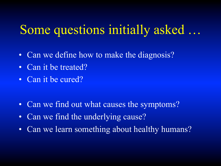# Some questions initially asked …

- Can we define how to make the diagnosis?
- Can it be treated?
- Can it be cured?
- Can we find out what causes the symptoms?
- Can we find the underlying cause?
- Can we learn something about healthy humans?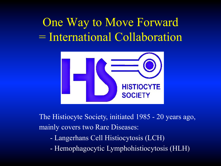# One Way to Move Forward = International Collaboration



The Histiocyte Society, initiated 1985 - 20 years ago, mainly covers two Rare Diseases:

- Langerhans Cell Histiocytosis (LCH)
- Hemophagocytic Lymphohistiocytosis (HLH)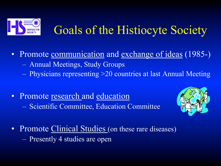

# Goals of the Histiocyte Society

- Promote communication and exchange of ideas (1985-)
	- Annual Meetings, Study Groups
	- Physicians representing >20 countries at last Annual Meeting
- Promote research and education
	- Scientific Committee, Education Committee



- Promote Clinical Studies (on these rare diseases)
	- Presently 4 studies are open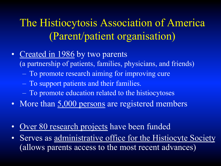### The Histiocytosis Association of America (Parent/patient organisation)

- Created in 1986 by two parents (a partnership of patients, families, physicians, and friends)
	- To promote research aiming for improving cure
	- To support patients and their families.
	- To promote education related to the histiocytoses
- More than 5,000 persons are registered members
- Over 80 research projects have been funded
- Serves as administrative office for the Histiocyte Society (allows parents access to the most recent advances)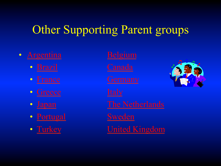### Other Supporting Parent groups

#### • Argentina Belgium

- 
- 
- Greece Italy
- 
- Portugal Sweden
- 

• Brazil Canada • France Germany • Japan The Netherlands

• Turkey United Kingdom

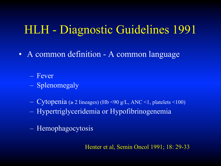## HLH - Diagnostic Guidelines 1991

- A common definition A common language
	- Fever
	- Splenomegaly
	- Cytopenia (≥ 2 lineages) (Hb <90 g/L, ANC <1, platelets <100)
	- Hypertriglyceridemia or Hypofibrinogenemia
	- Hemophagocytosis

Henter et al, Semin Oncol 1991; 18: 29-33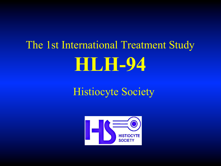# The 1st International Treatment Study **HLH-94**

Histiocyte Society

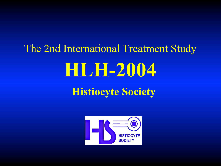# The 2nd International Treatment Study **HLH-2004 Histiocyte Society**

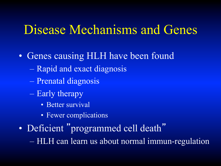# Disease Mechanisms and Genes

- Genes causing HLH have been found
	- Rapid and exact diagnosis
	- Prenatal diagnosis
	- Early therapy
		- Better survival
		- Fewer complications
- Deficient "programmed cell death"

– HLH can learn us about normal immun-regulation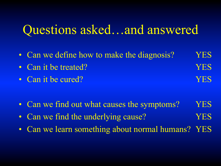## Questions asked…and answered

- Can we define how to make the diagnosis? YES • Can it be treated? YES • Can it be cured? YES
- Can we find out what causes the symptoms? YES
- Can we find the underlying cause? YES
- Can we learn something about normal humans? YES